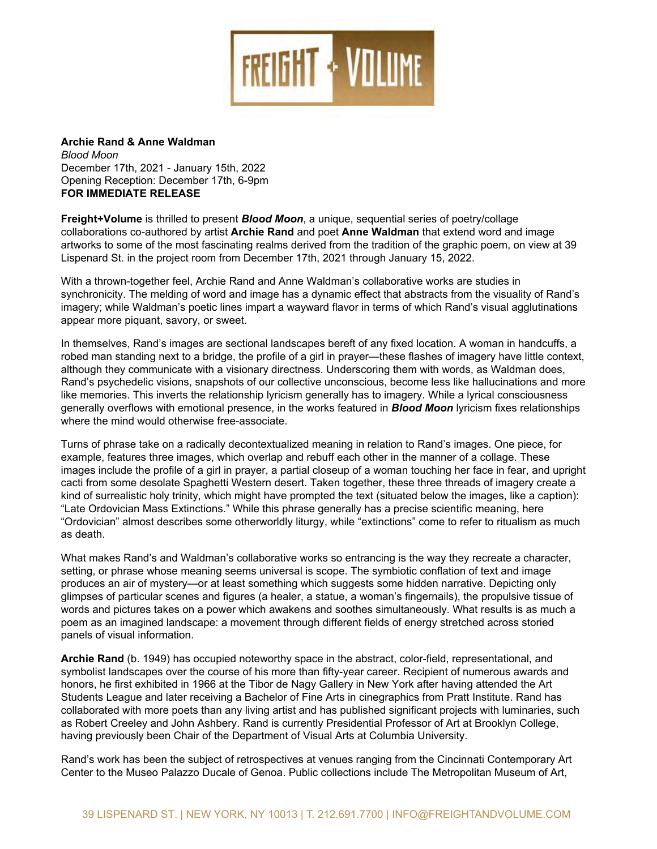

**Archie Rand & Anne Waldman** *Blood Moon* December 17th, 2021 - January 15th, 2022 Opening Reception: December 17th, 6-9pm **FOR IMMEDIATE RELEASE**

**Freight+Volume** is thrilled to present *Blood Moon*, a unique, sequential series of poetry/collage collaborations co-authored by artist **Archie Rand** and poet **Anne Waldman** that extend word and image artworks to some of the most fascinating realms derived from the tradition of the graphic poem, on view at 39 Lispenard St. in the project room from December 17th, 2021 through January 15, 2022.

With a thrown-together feel, Archie Rand and Anne Waldman's collaborative works are studies in synchronicity. The melding of word and image has a dynamic effect that abstracts from the visuality of Rand's imagery; while Waldman's poetic lines impart a wayward flavor in terms of which Rand's visual agglutinations appear more piquant, savory, or sweet.

In themselves, Rand's images are sectional landscapes bereft of any fixed location. A woman in handcuffs, a robed man standing next to a bridge, the profile of a girl in prayer—these flashes of imagery have little context, although they communicate with a visionary directness. Underscoring them with words, as Waldman does, Rand's psychedelic visions, snapshots of our collective unconscious, become less like hallucinations and more like memories. This inverts the relationship lyricism generally has to imagery. While a lyrical consciousness generally overflows with emotional presence, in the works featured in *Blood Moon* lyricism fixes relationships where the mind would otherwise free-associate.

Turns of phrase take on a radically decontextualized meaning in relation to Rand's images. One piece, for example, features three images, which overlap and rebuff each other in the manner of a collage. These images include the profile of a girl in prayer, a partial closeup of a woman touching her face in fear, and upright cacti from some desolate Spaghetti Western desert. Taken together, these three threads of imagery create a kind of surrealistic holy trinity, which might have prompted the text (situated below the images, like a caption): "Late Ordovician Mass Extinctions." While this phrase generally has a precise scientific meaning, here "Ordovician" almost describes some otherworldly liturgy, while "extinctions" come to refer to ritualism as much as death.

What makes Rand's and Waldman's collaborative works so entrancing is the way they recreate a character, setting, or phrase whose meaning seems universal is scope. The symbiotic conflation of text and image produces an air of mystery—or at least something which suggests some hidden narrative. Depicting only glimpses of particular scenes and figures (a healer, a statue, a woman's fingernails), the propulsive tissue of words and pictures takes on a power which awakens and soothes simultaneously. What results is as much a poem as an imagined landscape: a movement through different fields of energy stretched across storied panels of visual information.

**Archie Rand** (b. 1949) has occupied noteworthy space in the abstract, color-field, representational, and symbolist landscapes over the course of his more than fifty-year career. Recipient of numerous awards and honors, he first exhibited in 1966 at the Tibor de Nagy Gallery in New York after having attended the Art Students League and later receiving a Bachelor of Fine Arts in cinegraphics from Pratt Institute. Rand has collaborated with more poets than any living artist and has published significant projects with luminaries, such as Robert Creeley and John Ashbery. Rand is currently Presidential Professor of Art at Brooklyn College, having previously been Chair of the Department of Visual Arts at Columbia University.

Rand's work has been the subject of retrospectives at venues ranging from the Cincinnati Contemporary Art Center to the Museo Palazzo Ducale of Genoa. Public collections include The Metropolitan Museum of Art,